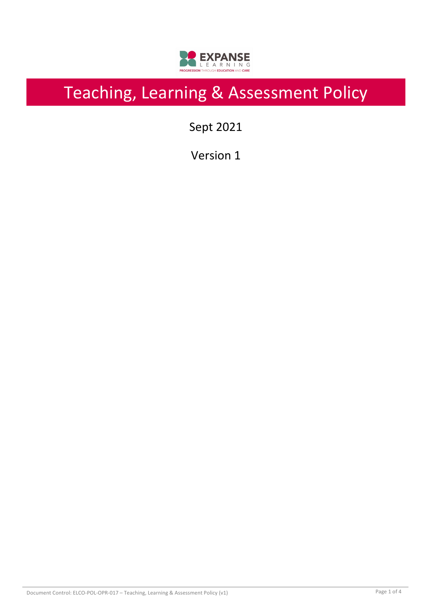

# Teaching, Learning & Assessment Policy

Sept 2021

Version 1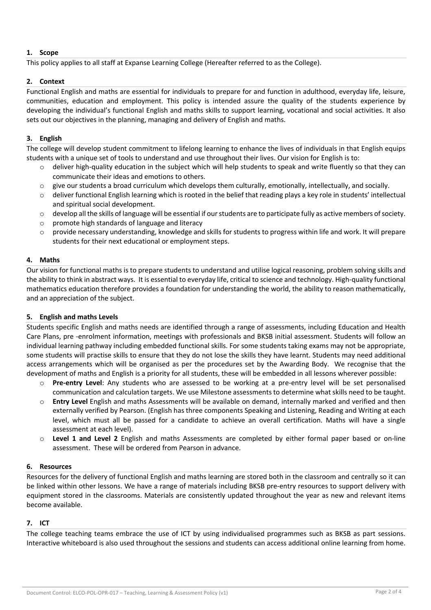#### **1. Scope**

This policy applies to all staff at Expanse Learning College (Hereafter referred to as the College).

#### **2. Context**

Functional English and maths are essential for individuals to prepare for and function in adulthood, everyday life, leisure, communities, education and employment. This policy is intended assure the quality of the students experience by developing the individual's functional English and maths skills to support learning, vocational and social activities. It also sets out our objectives in the planning, managing and delivery of English and maths.

#### **3. English**

The college will develop student commitment to lifelong learning to enhance the lives of individuals in that English equips students with a unique set of tools to understand and use throughout their lives. Our vision for English is to:

- $\circ$  deliver high-quality education in the subject which will help students to speak and write fluently so that they can communicate their ideas and emotions to others.
- o give our students a broad curriculum which develops them culturally, emotionally, intellectually, and socially.
- $\circ$  deliver functional English learning which is rooted in the belief that reading plays a key role in students' intellectual and spiritual social development.
- $\circ$  develop all the skills of language will be essential if our students are to participate fully as active members of society.
- o promote high standards of language and literacy
- $\circ$  provide necessary understanding, knowledge and skills for students to progress within life and work. It will prepare students for their next educational or employment steps.

#### **4. Maths**

Our vision for functional maths is to prepare students to understand and utilise logical reasoning, problem solving skills and the ability to think in abstract ways. It is essential to everyday life, critical to science and technology. High-quality functional mathematics education therefore provides a foundation for understanding the world, the ability to reason mathematically, and an appreciation of the subject.

#### **5. English and maths Levels**

Students specific English and maths needs are identified through a range of assessments, including Education and Health Care Plans, pre -enrolment information, meetings with professionals and BKSB initial assessment. Students will follow an individual learning pathway including embedded functional skills. For some students taking exams may not be appropriate, some students will practise skills to ensure that they do not lose the skills they have learnt. Students may need additional access arrangements which will be organised as per the procedures set by the Awarding Body. We recognise that the development of maths and English is a priority for all students, these will be embedded in all lessons wherever possible:

- o **Pre-entry Level**: Any students who are assessed to be working at a pre-entry level will be set personalised communication and calculation targets. We use Milestone assessments to determine what skills need to be taught.
- o **Entry Level** English and maths Assessments will be available on demand, internally marked and verified and then externally verified by Pearson. (English has three components Speaking and Listening, Reading and Writing at each level, which must all be passed for a candidate to achieve an overall certification. Maths will have a single assessment at each level).
- o **Level 1 and Level 2** English and maths Assessments are completed by either formal paper based or on-line assessment. These will be ordered from Pearson in advance.

#### **6. Resources**

Resources for the delivery of functional English and maths learning are stored both in the classroom and centrally so it can be linked within other lessons. We have a range of materials including BKSB pre-entry resources to support delivery with equipment stored in the classrooms. Materials are consistently updated throughout the year as new and relevant items become available.

#### **7. ICT**

The college teaching teams embrace the use of ICT by using individualised programmes such as BKSB as part sessions. Interactive whiteboard is also used throughout the sessions and students can access additional online learning from home.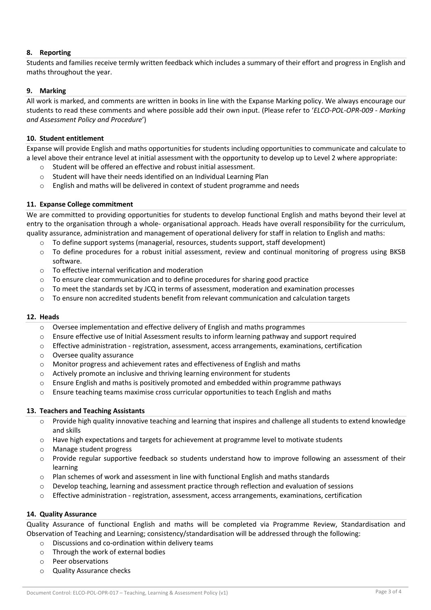#### **8. Reporting**

Students and families receive termly written feedback which includes a summary of their effort and progress in English and maths throughout the year.

#### **9. Marking**

All work is marked, and comments are written in books in line with the Expanse Marking policy. We always encourage our students to read these comments and where possible add their own input. (Please refer to '*ELCO-POL-OPR-009 - Marking and Assessment Policy and Procedure*')

#### **10. Student entitlement**

Expanse will provide English and maths opportunities for students including opportunities to communicate and calculate to a level above their entrance level at initial assessment with the opportunity to develop up to Level 2 where appropriate:

- o Student will be offered an effective and robust initial assessment.
- o Student will have their needs identified on an Individual Learning Plan
- o English and maths will be delivered in context of student programme and needs

#### **11. Expanse College commitment**

We are committed to providing opportunities for students to develop functional English and maths beyond their level at entry to the organisation through a whole- organisational approach. Heads have overall responsibility for the curriculum, quality assurance, administration and management of operational delivery for staff in relation to English and maths:

- $\circ$  To define support systems (managerial, resources, students support, staff development)
- $\circ$  To define procedures for a robust initial assessment, review and continual monitoring of progress using BKSB software.
- o To effective internal verification and moderation
- $\circ$  To ensure clear communication and to define procedures for sharing good practice
- $\circ$  To meet the standards set by JCQ in terms of assessment, moderation and examination processes
- $\circ$  To ensure non accredited students benefit from relevant communication and calculation targets

#### **12. Heads**

- $\circ$  Oversee implementation and effective delivery of English and maths programmes
- o Ensure effective use of Initial Assessment results to inform learning pathway and support required
- $\circ$  Effective administration registration, assessment, access arrangements, examinations, certification
- o Oversee quality assurance
- $\circ$  Monitor progress and achievement rates and effectiveness of English and maths
- o Actively promote an inclusive and thriving learning environment for students
- $\circ$  Ensure English and maths is positively promoted and embedded within programme pathways
- o Ensure teaching teams maximise cross curricular opportunities to teach English and maths

#### **13. Teachers and Teaching Assistants**

- $\circ$  Provide high quality innovative teaching and learning that inspires and challenge all students to extend knowledge and skills
- o Have high expectations and targets for achievement at programme level to motivate students
- o Manage student progress
- $\circ$  Provide regular supportive feedback so students understand how to improve following an assessment of their learning
- o Plan schemes of work and assessment in line with functional English and maths standards
- o Develop teaching, learning and assessment practice through reflection and evaluation of sessions
- $\circ$  Effective administration registration, assessment, access arrangements, examinations, certification

#### **14. Quality Assurance**

Quality Assurance of functional English and maths will be completed via Programme Review, Standardisation and Observation of Teaching and Learning; consistency/standardisation will be addressed through the following:

- o Discussions and co-ordination within delivery teams
- o Through the work of external bodies
- o Peer observations
- o Quality Assurance checks